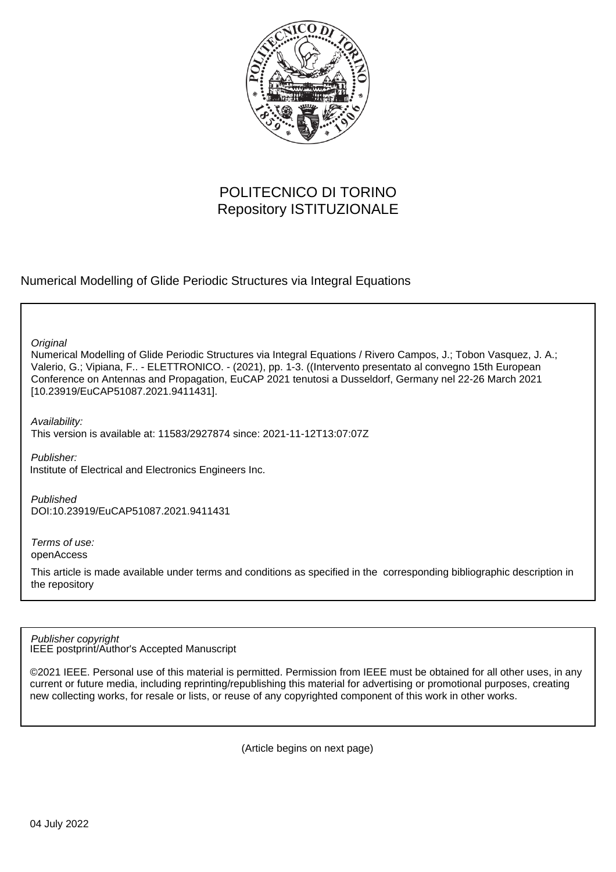

# POLITECNICO DI TORINO Repository ISTITUZIONALE

Numerical Modelling of Glide Periodic Structures via Integral Equations

**Original** 

Numerical Modelling of Glide Periodic Structures via Integral Equations / Rivero Campos, J.; Tobon Vasquez, J. A.; Valerio, G.; Vipiana, F.. - ELETTRONICO. - (2021), pp. 1-3. ((Intervento presentato al convegno 15th European Conference on Antennas and Propagation, EuCAP 2021 tenutosi a Dusseldorf, Germany nel 22-26 March 2021 [10.23919/EuCAP51087.2021.9411431].

Availability: This version is available at: 11583/2927874 since: 2021-11-12T13:07:07Z

Publisher: Institute of Electrical and Electronics Engineers Inc.

Published DOI:10.23919/EuCAP51087.2021.9411431

Terms of use: openAccess

This article is made available under terms and conditions as specified in the corresponding bibliographic description in the repository

IEEE postprint/Author's Accepted Manuscript Publisher copyright

©2021 IEEE. Personal use of this material is permitted. Permission from IEEE must be obtained for all other uses, in any current or future media, including reprinting/republishing this material for advertising or promotional purposes, creating new collecting works, for resale or lists, or reuse of any copyrighted component of this work in other works.

(Article begins on next page)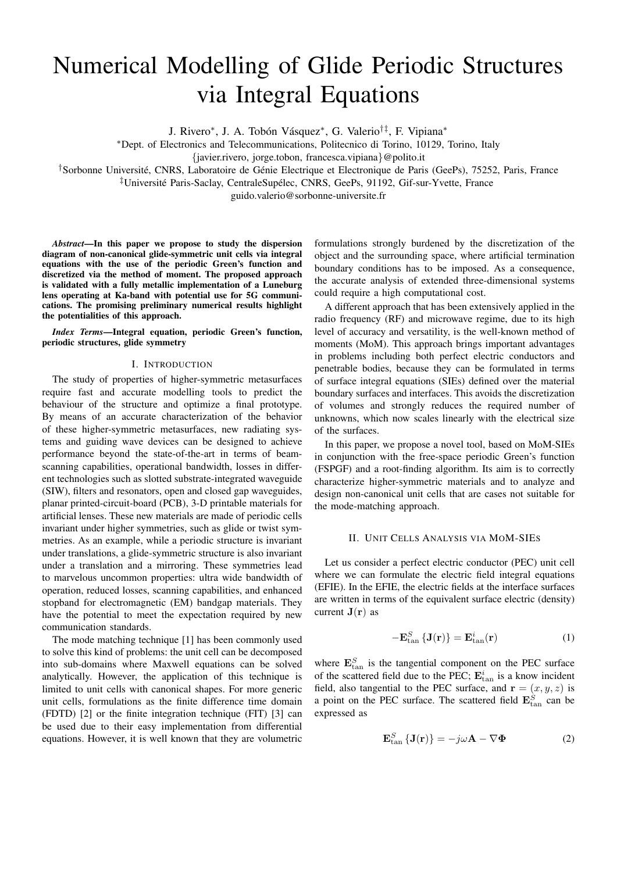# Numerical Modelling of Glide Periodic Structures via Integral Equations

J. Rivero\*, J. A. Tobón Vásquez\*, G. Valerio<sup>†‡</sup>, F. Vipiana\*

<sup>∗</sup>Dept. of Electronics and Telecommunications, Politecnico di Torino, 10129, Torino, Italy

{javier.rivero, jorge.tobon, francesca.vipiana}@polito.it

<sup>†</sup>Sorbonne Université, CNRS, Laboratoire de Génie Electrique et Electronique de Paris (GeePs), 75252, Paris, France

 $\ddagger$ Université Paris-Saclay, CentraleSupélec, CNRS, GeePs, 91192, Gif-sur-Yvette, France

guido.valerio@sorbonne-universite.fr

*Abstract*—In this paper we propose to study the dispersion diagram of non-canonical glide-symmetric unit cells via integral equations with the use of the periodic Green's function and discretized via the method of moment. The proposed approach is validated with a fully metallic implementation of a Luneburg lens operating at Ka-band with potential use for 5G communications. The promising preliminary numerical results highlight the potentialities of this approach.

*Index Terms*—Integral equation, periodic Green's function, periodic structures, glide symmetry

#### I. INTRODUCTION

The study of properties of higher-symmetric metasurfaces require fast and accurate modelling tools to predict the behaviour of the structure and optimize a final prototype. By means of an accurate characterization of the behavior of these higher-symmetric metasurfaces, new radiating systems and guiding wave devices can be designed to achieve performance beyond the state-of-the-art in terms of beamscanning capabilities, operational bandwidth, losses in different technologies such as slotted substrate-integrated waveguide (SIW), filters and resonators, open and closed gap waveguides, planar printed-circuit-board (PCB), 3-D printable materials for artificial lenses. These new materials are made of periodic cells invariant under higher symmetries, such as glide or twist symmetries. As an example, while a periodic structure is invariant under translations, a glide-symmetric structure is also invariant under a translation and a mirroring. These symmetries lead to marvelous uncommon properties: ultra wide bandwidth of operation, reduced losses, scanning capabilities, and enhanced stopband for electromagnetic (EM) bandgap materials. They have the potential to meet the expectation required by new communication standards.

The mode matching technique [1] has been commonly used to solve this kind of problems: the unit cell can be decomposed into sub-domains where Maxwell equations can be solved analytically. However, the application of this technique is limited to unit cells with canonical shapes. For more generic unit cells, formulations as the finite difference time domain (FDTD) [2] or the finite integration technique (FIT) [3] can be used due to their easy implementation from differential equations. However, it is well known that they are volumetric

formulations strongly burdened by the discretization of the object and the surrounding space, where artificial termination boundary conditions has to be imposed. As a consequence, the accurate analysis of extended three-dimensional systems could require a high computational cost.

A different approach that has been extensively applied in the radio frequency (RF) and microwave regime, due to its high level of accuracy and versatility, is the well-known method of moments (MoM). This approach brings important advantages in problems including both perfect electric conductors and penetrable bodies, because they can be formulated in terms of surface integral equations (SIEs) defined over the material boundary surfaces and interfaces. This avoids the discretization of volumes and strongly reduces the required number of unknowns, which now scales linearly with the electrical size of the surfaces.

In this paper, we propose a novel tool, based on MoM-SIEs in conjunction with the free-space periodic Green's function (FSPGF) and a root-finding algorithm. Its aim is to correctly characterize higher-symmetric materials and to analyze and design non-canonical unit cells that are cases not suitable for the mode-matching approach.

## II. UNIT CELLS ANALYSIS VIA MOM-SIES

Let us consider a perfect electric conductor (PEC) unit cell where we can formulate the electric field integral equations (EFIE). In the EFIE, the electric fields at the interface surfaces are written in terms of the equivalent surface electric (density) current  $J(r)$  as

$$
-\mathbf{E}_{\tan}^{S} \left\{ \mathbf{J}(\mathbf{r}) \right\} = \mathbf{E}_{\tan}^{i}(\mathbf{r}) \tag{1}
$$

where  $\mathbf{E}_{\text{tan}}^S$  is the tangential component on the PEC surface of the scattered field due to the PEC;  $E_{tan}^{i}$  is a know incident field, also tangential to the PEC surface, and  $\mathbf{r} = (x, y, z)$  is a point on the PEC surface. The scattered field  $\mathbf{E}_{\text{tan}}^{S}$  can be expressed as

$$
\mathbf{E}_{\tan}^{S} \left\{ \mathbf{J}(\mathbf{r}) \right\} = -j\omega \mathbf{A} - \nabla \Phi \tag{2}
$$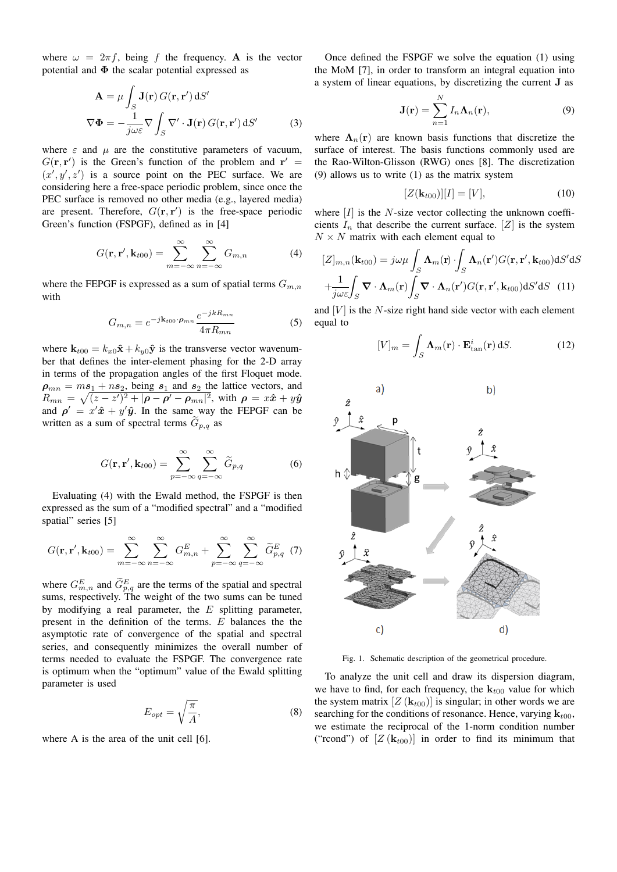where  $\omega = 2\pi f$ , being f the frequency. A is the vector potential and  $\Phi$  the scalar potential expressed as

$$
\mathbf{A} = \mu \int_{S} \mathbf{J}(\mathbf{r}) G(\mathbf{r}, \mathbf{r}') dS'
$$
  

$$
\nabla \Phi = -\frac{1}{j\omega \varepsilon} \nabla \int_{S} \nabla' \cdot \mathbf{J}(\mathbf{r}) G(\mathbf{r}, \mathbf{r}') dS'
$$
(3)

where  $\varepsilon$  and  $\mu$  are the constitutive parameters of vacuum,  $G(\mathbf{r}, \mathbf{r}')$  is the Green's function of the problem and  $\mathbf{r}' =$  $(x', y', z')$  is a source point on the PEC surface. We are considering here a free-space periodic problem, since once the PEC surface is removed no other media (e.g., layered media) are present. Therefore,  $G(\mathbf{r}, \mathbf{r}')$  is the free-space periodic Green's function (FSPGF), defined as in [4]

$$
G(\mathbf{r}, \mathbf{r}', \mathbf{k}_{t00}) = \sum_{m=-\infty}^{\infty} \sum_{n=-\infty}^{\infty} G_{m,n}
$$
 (4)

where the FEPGF is expressed as a sum of spatial terms  $G_{m,n}$ with

$$
G_{m,n} = e^{-j\mathbf{k}_{t00}\cdot\boldsymbol{\rho}_{mn}} \frac{e^{-j k R_{mn}}}{4\pi R_{mn}} \tag{5}
$$

where  $\mathbf{k}_{t00} = k_{x0}\hat{\mathbf{x}} + k_{y0}\hat{\mathbf{y}}$  is the transverse vector wavenumber that defines the inter-element phasing for the 2-D array in terms of the propagation angles of the first Floquet mode.  $\rho_{mn} = ms_1 + ns_2$ , being  $s_1$  and  $s_2$  the lattice vectors, and  $R_{mn} = \sqrt{ (z-z')^2 + |\boldsymbol{\rho}-\boldsymbol{\rho}'-\boldsymbol{\rho}_{mn}|^2},$  with  $\boldsymbol{\rho} = x\hat{\boldsymbol{x}} + y\hat{\boldsymbol{y}}$ and  $\rho' = x'\hat{x} + y'\hat{y}$ . In the same way the FEPGF can be written as a sum of spectral terms  $G_{p,q}$  as

$$
G(\mathbf{r}, \mathbf{r}', \mathbf{k}_{t00}) = \sum_{p=-\infty}^{\infty} \sum_{q=-\infty}^{\infty} \widetilde{G}_{p,q}
$$
 (6)

Evaluating (4) with the Ewald method, the FSPGF is then expressed as the sum of a "modified spectral" and a "modified spatial" series [5]

$$
G(\mathbf{r}, \mathbf{r}', \mathbf{k}_{t00}) = \sum_{m=-\infty}^{\infty} \sum_{n=-\infty}^{\infty} G_{m,n}^{E} + \sum_{p=-\infty}^{\infty} \sum_{q=-\infty}^{\infty} \widetilde{G}_{p,q}^{E} (7)
$$

where  $G_{m,n}^E$  and  $\widetilde{G}_{p,q}^E$  are the terms of the spatial and spectral sums, respectively. The weight of the two sums can be tuned by modifying a real parameter, the  $E$  splitting parameter, present in the definition of the terms. E balances the the asymptotic rate of convergence of the spatial and spectral series, and consequently minimizes the overall number of terms needed to evaluate the FSPGF. The convergence rate is optimum when the "optimum" value of the Ewald splitting parameter is used

$$
E_{opt} = \sqrt{\frac{\pi}{A}},\tag{8}
$$

where A is the area of the unit cell [6].

Once defined the FSPGF we solve the equation (1) using the MoM [7], in order to transform an integral equation into a system of linear equations, by discretizing the current J as

$$
\mathbf{J}(\mathbf{r}) = \sum_{n=1}^{N} I_n \mathbf{\Lambda}_n(\mathbf{r}),
$$
\n(9)

where  $\Lambda_n(r)$  are known basis functions that discretize the surface of interest. The basis functions commonly used are the Rao-Wilton-Glisson (RWG) ones [8]. The discretization (9) allows us to write (1) as the matrix system

$$
[Z(\mathbf{k}_{t00})][I] = [V], \tag{10}
$$

where  $[I]$  is the *N*-size vector collecting the unknown coefficients  $I_n$  that describe the current surface. [Z] is the system  $N \times N$  matrix with each element equal to

$$
[Z]_{m,n}(\mathbf{k}_{t00}) = j\omega\mu \int_{S} \mathbf{\Lambda}_{m}(\mathbf{r}) \cdot \int_{S} \mathbf{\Lambda}_{n}(\mathbf{r'}) G(\mathbf{r}, \mathbf{r'}, \mathbf{k}_{t00}) dS' dS
$$

$$
+ \frac{1}{j\omega\varepsilon} \int_{S} \mathbf{\nabla} \cdot \mathbf{\Lambda}_{m}(\mathbf{r}) \int_{S} \mathbf{\nabla} \cdot \mathbf{\Lambda}_{n}(\mathbf{r'}) G(\mathbf{r}, \mathbf{r'}, \mathbf{k}_{t00}) dS' dS \quad (11)
$$

and  $[V]$  is the N-size right hand side vector with each element equal to

$$
[V]_m = \int_S \mathbf{\Lambda}_m(\mathbf{r}) \cdot \mathbf{E}_{\tan}^i(\mathbf{r}) \, \mathrm{d}S. \tag{12}
$$



Fig. 1. Schematic description of the geometrical procedure.

To analyze the unit cell and draw its dispersion diagram, we have to find, for each frequency, the  $k_{t00}$  value for which the system matrix  $[Z(\mathbf{k}_{t00})]$  is singular; in other words we are searching for the conditions of resonance. Hence, varying  $\mathbf{k}_{t00}$ , we estimate the reciprocal of the 1-norm condition number ("rcond") of  $[Z(\mathbf{k}_{t00})]$  in order to find its minimum that